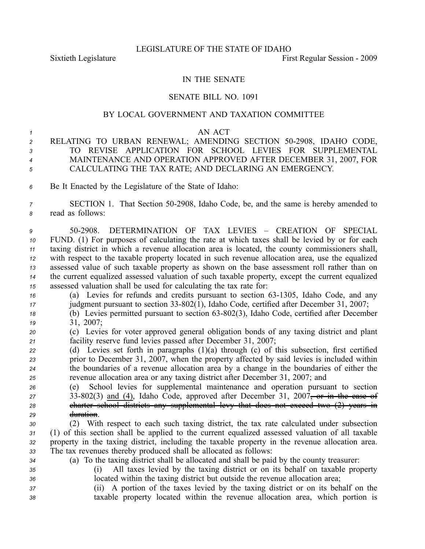## IN THE SENATE

## SENATE BILL NO. 1091

## BY LOCAL GOVERNMENT AND TAXATION COMMITTEE

## *<sup>1</sup>* AN ACT

- 2 RELATING TO URBAN RENEWAL; AMENDING SECTION 50-2908, IDAHO CODE, *3* TO REVISE APPLICATION FOR SCHOOL LEVIES FOR SUPPLEMENTAL *<sup>4</sup>* MAINTENANCE AND OPERATION APPROVED AFTER DECEMBER 31, 2007, FOR *<sup>5</sup>* CALCULATING THE TAX RATE; AND DECLARING AN EMERGENCY.
- *<sup>6</sup>* Be It Enacted by the Legislature of the State of Idaho:

*<sup>7</sup>* SECTION 1. That Section 502908, Idaho Code, be, and the same is hereby amended to *<sup>8</sup>* read as follows:

 502908. DETERMINATION OF TAX LEVIES – CREATION OF SPECIAL FUND. (1) For purposes of calculating the rate at which taxes shall be levied by or for each taxing district in which <sup>a</sup> revenue allocation area is located, the county commissioners shall, with respec<sup>t</sup> to the taxable property located in such revenue allocation area, use the equalized assessed value of such taxable property as shown on the base assessment roll rather than on the current equalized assessed valuation of such taxable property, excep<sup>t</sup> the current equalized assessed valuation shall be used for calculating the tax rate for:

- *16* (a) Levies for refunds and credits pursuant to section 63-1305, Idaho Code, and any *17* judgment pursuant to section 33-802(1), Idaho Code, certified after December 31, 2007;
- *18* (b) Levies permitted pursuant to section 63-802(3), Idaho Code, certified after December *<sup>19</sup>* 31, 2007;
- *<sup>20</sup>* (c) Levies for voter approved general obligation bonds of any taxing district and plant *<sup>21</sup>* facility reserve fund levies passed after December 31, 2007;
- *<sup>22</sup>* (d) Levies set forth in paragraphs (1)(a) through (c) of this subsection, first certified *<sup>23</sup>* prior to December 31, 2007, when the property affected by said levies is included within *<sup>24</sup>* the boundaries of <sup>a</sup> revenue allocation area by <sup>a</sup> change in the boundaries of either the *<sup>25</sup>* revenue allocation area or any taxing district after December 31, 2007; and
- *<sup>26</sup>* (e) School levies for supplemental maintenance and operation pursuan<sup>t</sup> to section 27 33-802(3) and (4), Idaho Code, approved after December 31, 2007<del>, or in the case of</del> *<sup>28</sup>* charter school districts any supplemental levy that does not exceed two (2) years in *<sup>29</sup>* duration.
- *<sup>30</sup>* (2) With respec<sup>t</sup> to each such taxing district, the tax rate calculated under subsection *<sup>31</sup>* (1) of this section shall be applied to the current equalized assessed valuation of all taxable *<sup>32</sup>* property in the taxing district, including the taxable property in the revenue allocation area. *<sup>33</sup>* The tax revenues thereby produced shall be allocated as follows:
- *<sup>34</sup>* (a) To the taxing district shall be allocated and shall be paid by the county treasurer:
- *<sup>35</sup>* (i) All taxes levied by the taxing district or on its behalf on taxable property *<sup>36</sup>* located within the taxing district but outside the revenue allocation area;
- *<sup>37</sup>* (ii) A portion of the taxes levied by the taxing district or on its behalf on the *<sup>38</sup>* taxable property located within the revenue allocation area, which portion is